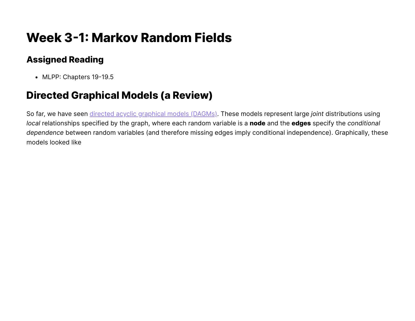# **Week 3-1: Markov Random Fields**

## **Assigned Reading**

• MLPP: Chapters 19-19.5

## **Directed Graphical Models (a Review)**

So far, we have seen directed acyclic graphical models (DAGMs). These models represent large *joint* distributions using *local* relationships specified by the graph, where each random variable is a **node** and the **edges** specify the *conditional dependence* between random variables (and therefore missing edges imply conditional independence). Graphically, these models looked like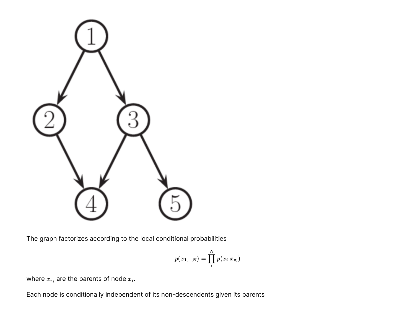

The graph factorizes according to the local conditional probabilities

$$
p(x_{1,...,N})=\prod_i^N p(x_i|x_{\pi_i})
$$

where  $x_{\pi_i}$  are the parents of node  $x_i.$ 

Each node is conditionally independent of its non-descendents given its parents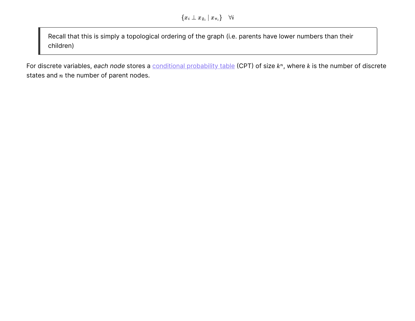Recall that this is simply a topological ordering of the graph (i.e. parents have lower numbers than their children)

For discrete variables, each node stores a <u>[conditional probability table](https://en.wikipedia.org/wiki/Conditional_probability_table)</u> (CPT) of size  $k^n$ , where  $k$  is the number of discrete states and  $n$  the number of parent nodes.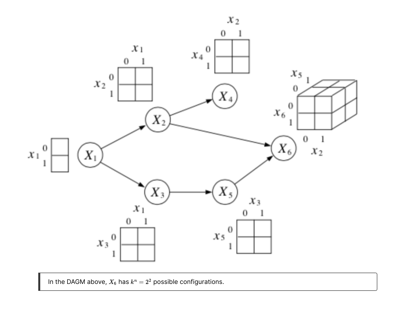

In the DAGM above,  $X_6$  has  $k^n = 2^2$  possible configurations.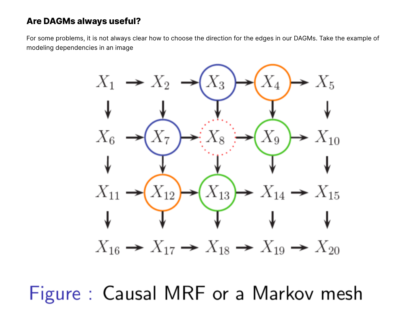### **Are DAGMs always useful?**

For some problems, it is not always clear how to choose the direction for the edges in our DAGMs. Take the example of modeling dependencies in an image



Figure: Causal MRF or a Markov mesh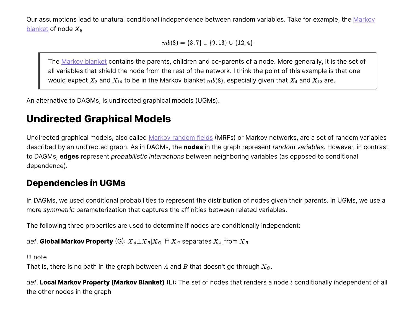[Our assumptions lead to unatural conditional independence between random variables. Take for example, the](https://en.wikipedia.org/wiki/Markov_blanket) Markov blanket of node  $X_8$ 

 $mb(8) = \{3, 7\} \cup \{9, 13\} \cup \{12, 4\}$ 

The [Markov blanket](https://en.wikipedia.org/wiki/Markov_blanket) contains the parents, children and co-parents of a node. More generally, it is the set of all variables that shield the node from the rest of the network. I think the point of this example is that one would expect  $X_2$  and  $X_{14}$  to be in the Markov blanket  $mb(8)$ , especially given that  $X_4$  and  $X_{12}$  are.

An alternative to DAGMs, is undirected graphical models (UGMs).

## **Undirected Graphical Models**

Undirected graphical models, also called [Markov random fields](https://en.wikipedia.org/wiki/Markov_random_field) (MRFs) or Markov networks, are a set of random variables described by an undirected graph. As in DAGMs, the **nodes** in the graph represent *random variables*. However, in contrast to DAGMs, **edges** represent *probabilistic interactions* between neighboring variables (as opposed to conditional dependence).

### **Dependencies in UGMs**

In DAGMs, we used conditional probabilities to represent the distribution of nodes given their parents. In UGMs, we use a more *symmetric* parameterization that captures the affinities between related variables.

The following three properties are used to determine if nodes are conditionally independent:

 $\mathsf{def}.$  **Global Markov Property** (G):  $X_A \bot X_B | X_C$  iff  $X_C$  separates  $X_A$  from  $X_B$ 

!!! note

That is, there is no path in the graph between  $A$  and  $B$  that doesn't go through  $X_C.$ 

def. Local Markov Property (Markov Blanket) (L): The set of nodes that renders a node  $t$  conditionally independent of all the other nodes in the graph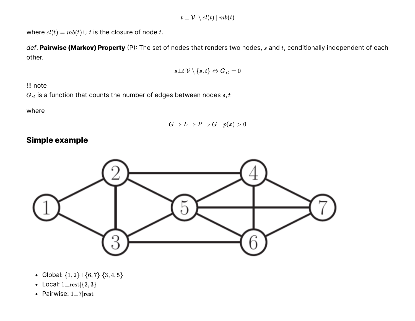where  $cl(t) = mb(t) \cup t$  is the closure of node t.

def. **Pairwise (Markov) Property** (P): The set of nodes that renders two nodes,  $s$  and  $t$ , conditionally independent of each other.

$$
s\bot t|\mathcal{V}\setminus\{s,t\}\Leftrightarrow G_{st}=0
$$

!!! note

 $\hat{G}_{st}$  is a function that counts the number of edges between nodes  $s,t$ 

where

$$
G \Rightarrow L \Rightarrow P \Rightarrow G \quad p(x) > 0
$$

#### **Simple example**



- Global:  $\{1,2\} \perp \{6,7\} |\{3,4,5\}$
- Local:  $1 \text{ } \perp \text{rest} | \{2,3\}$
- Pairwise: 1⊥7|rest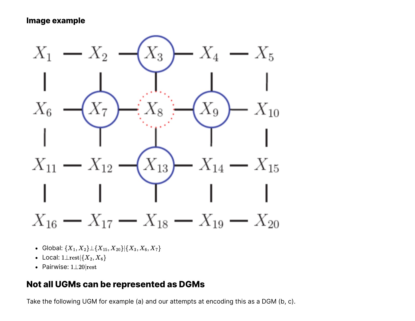#### **Image example**



- Global:  $\{X_1, X_2\} \bot \{X_{15}, X_{20}\}|\{X_3, X_6, X_7\}$
- Local:  $1\bot \mathrm{rest}| \{X_2, X_6\} |$
- Pairwise: 1⊥20|rest

### **Not all UGMs can be represented as DGMs**

Take the following UGM for example (a) and our attempts at encoding this as a DGM (b, c).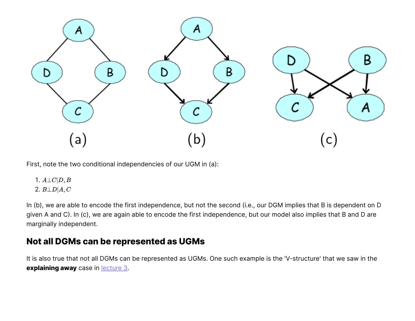

First, note the two conditional independencies of our UGM in (a):

- 1.  $A\bot C|D, B$
- 2.  $B \perp D | A, C$

In (b), we are able to encode the first independence, but not the second (i.e., our DGM implies that B is dependent on D given A and C). In (c), we are again able to encode the first independence, but our model also implies that B and D are marginally independent.

### **Not all DGMs can be represented as UGMs**

It is also true that not all DGMs can be represented as UGMs. One such example is the 'V-structure' that we saw in the **explaining away** case in lecture 3.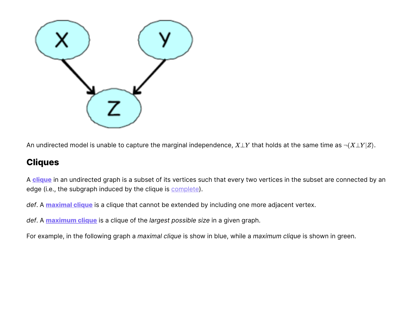

An undirected model is unable to capture the marginal independence,  $X \bot Y$  that holds at the same time as  $\neg (X \bot Y | Z).$ 

### **Cliques**

A **[clique](https://en.wikipedia.org/wiki/Clique_(graph_theory))** in an undirected graph is a subset of its vertices such that every two vertices in the subset are connected by an edge (i.e., the subgraph induced by the clique is [complete\)](https://en.wikipedia.org/wiki/Complete_graph).

*def*. A **[maximal](https://en.wikipedia.org/wiki/Clique_(graph_theory)#Definitions) clique** is a clique that cannot be extended by including one more adjacent vertex.

*def*. A **[maximum](https://en.wikipedia.org/wiki/Clique_(graph_theory)#Definitions) clique** is a clique of the *largest possible size* in a given graph.

For example, in the following graph a *maximal clique* is show in blue, while a *maximum clique* is shown in green.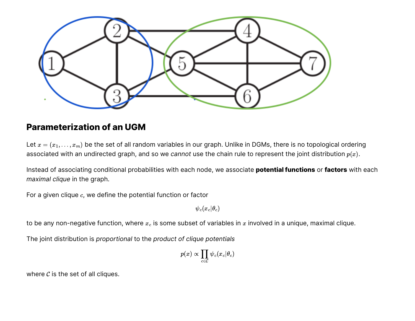

#### **Parameterization of an UGM**

Let  $x = (x_1, \ldots, x_m)$  be the set of all random variables in our graph. Unlike in DGMs, there is no topological ordering associated with an undirected graph, and so we *cannot* use the chain rule to represent the joint distribution  $p(x)$ .

Instead of associating conditional probabilities with each node, we associate **potential functions** or **factors** with each *maximal clique* in the graph.

For a given clique  $c$ , we define the potential function or factor

 $\psi_c(x_c|\theta_c)$ 

to be any non-negative function, where  $x_c$  is some subset of variables in  $x$  involved in a unique, maximal clique.

The joint distribution is *proportional* to the *product of clique potentials*

$$
p(x) \propto \prod_{c \in \mathcal{C}} \psi_c(x_c|\theta_c)
$$

where  $C$  is the set of all cliques.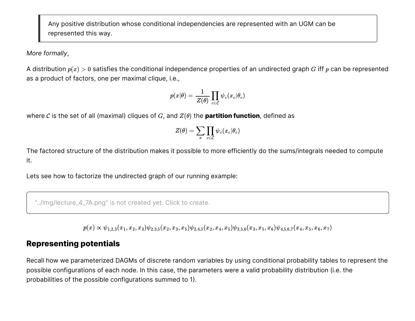Any positive distribution whose conditional independencies are represented with an UGM can be represented this way.

*More formally*,

A distribution  $p(x)>0$  satisfies the conditional independence properties of an undirected graph  $G$  iff  $p$  can be represented as a product of factors, one per maximal clique, i.e.,

$$
p(x|\theta) = \frac{1}{Z(\theta)} \prod_{c \in \mathcal{C}} \psi_c(x_c|\theta_c)
$$

where  $C$  is the set of all (maximal) cliques of  $G$ , and  $Z(\theta)$  the **partition function**, defined as

$$
Z(\theta) = \sum_x \prod_{c \in \mathcal{C}} \psi_c(x_c|\theta_c)
$$

The factored structure of the distribution makes it possible to more efficiently do the sums/integrals needed to compute it.

Lets see how to factorize the undirected graph of our running example:

"../img/lecture\_4\_7A.png" is not created yet. Click to create.

 $p(x) \propto \psi_{1,2,3}(x_1,x_2,x_3) \psi_{2,3,5}(x_2,x_3,x_5) \psi_{2,4,5}(x_2,x_4,x_5) \psi_{3,5,6}(x_3,x_5,x_6) \psi_{4,5,6,7}(x_4,x_5,x_6,x_7)$ 

#### **Representing potentials**

Recall how we parameterized DAGMs of discrete random variables by using conditional probability tables to represent the possible configurations of each node. In this case, the parameters were a valid probability distribution (i.e. the probabilities of the possible configurations summed to 1).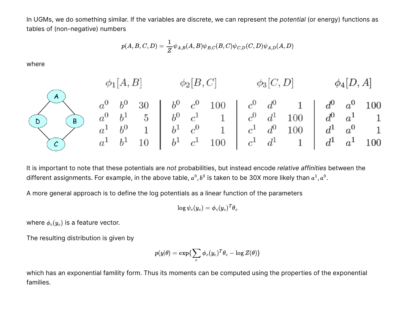In UGMs, we do something similar. If the variables are discrete, we can represent the *potential* (or energy) functions as tables of (non-negative) numbers

$$
p(A,B,C,D)=\frac{1}{Z}\psi_{A,B}(A,B)\psi_{B,C}(B,C)\psi_{C,D}(C,D)\psi_{A,D}(A,D)
$$

where



It is important to note that these potentials are *not* probabilities, but instead encode *relative affinities* between the different assignments. For example, in the above table,  $a^0, b^0$  is taken to be 30X more likely than  $a^1, a^0.$ 

A more general approach is to define the log potentials as a linear function of the parameters

$$
\log \psi_c(y_c) = \phi_c(y_c)^T \theta_c
$$

where  $\phi_c(y_c)$  is a feature vector.

The resulting distribution is given by

$$
p(y|\theta) = \exp\{\sum_c \phi_c(y_c)^T\theta_c - \log Z(\theta)\}
$$

which has an exponential famility form. Thus its moments can be computed using the properties of the exponential families.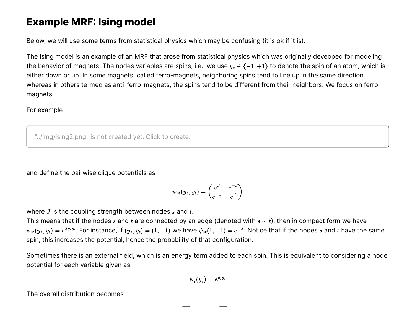## **Example MRF: Ising model**

Below, we will use some terms from statistical physics which may be confusing (it is ok if it is).

The Ising model is an example of an MRF that arose from statistical physics which was originally deveoped for modeling the behavior of magnets. The nodes variables are spins, i.e., we use  $y_s \in \{-1, +1\}$  to denote the spin of an atom, which is either down or up. In some magnets, called ferro-magnets, neighboring spins tend to line up in the same direction whereas in others termed as anti-ferro-magnets, the spins tend to be different from their neighbors. We focus on ferromagnets.

#### For example

"../img/ising2.png" is not created yet. Click to create.

and define the pairwise clique potentials as

$$
\psi_{st}(y_s,y_t)=\begin{pmatrix} e^J & e^{-J}\\ e^{-J} & e^J\end{pmatrix}
$$

where  $J$  is the coupling strength between nodes  $s$  and  $t.$ 

This means that if the nodes  $s$  and  $t$  are connected by an edge (denoted with  $s\sim t$ ), then in compact form we have  $\psi_{st}(y_s,y_t)=e^{Jy_sy_t}.$  For instance, if  $(y_s,y_t)=(1,-1)$  we have  $\psi_{st}(1,-1)=e^{-J}.$  Notice that if the nodes  $s$  and  $t$  have the same spin, this increases the potential, hence the probability of that configuration.

Sometimes there is an external field, which is an energy term added to each spin. This is equivalent to considering a node potential for each variable given as

$$
\psi_s(y_s)=e^{b_s y_s}
$$

The overall distribution becomes